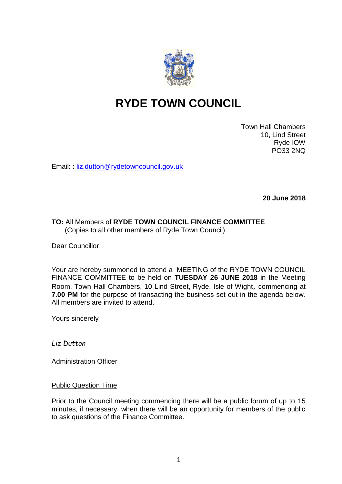

# **RYDE TOWN COUNCIL**

Town Hall Chambers 10, Lind Street Ryde IOW PO33 2NQ

Email: : [liz.dutton@rydetowncouncil.gov.uk](mailto:liz.dutton@rydetowncouncil.gov.uk)

**20 June 2018**

# **TO:** All Members of **RYDE TOWN COUNCIL FINANCE COMMITTEE** (Copies to all other members of Ryde Town Council)

Dear Councillor

Your are hereby summoned to attend a MEETING of the RYDE TOWN COUNCIL FINANCE COMMITTEE to be held on **TUESDAY 26 JUNE 2018** in the Meeting Room, Town Hall Chambers, 10 Lind Street, Ryde, Isle of Wight, commencing at **7.00 PM** for the purpose of transacting the business set out in the agenda below. All members are invited to attend.

Yours sincerely

*Liz Dutton*

Administration Officer

Public Question Time

Prior to the Council meeting commencing there will be a public forum of up to 15 minutes, if necessary, when there will be an opportunity for members of the public to ask questions of the Finance Committee.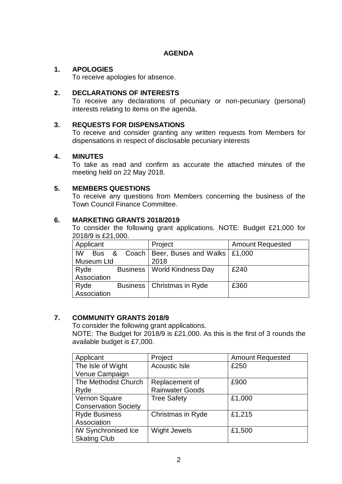# **AGENDA**

# **1. APOLOGIES**

To receive apologies for absence.

## **2. DECLARATIONS OF INTERESTS**

To receive any declarations of pecuniary or non-pecuniary (personal) interests relating to items on the agenda.

## **3. REQUESTS FOR DISPENSATIONS**

To receive and consider granting any written requests from Members for dispensations in respect of disclosable pecuniary interests

## **4. MINUTES**

To take as read and confirm as accurate the attached minutes of the meeting held on 22 May 2018.

# **5. MEMBERS QUESTIONS**

To receive any questions from Members concerning the business of the Town Council Finance Committee.

## **6. MARKETING GRANTS 2018/2019**

To consider the following grant applications. NOTE: Budget £21,000 for 2018/9 is £21,000.

| Applicant   |  | Project                                | <b>Amount Requested</b> |
|-------------|--|----------------------------------------|-------------------------|
| IW<br>Bus & |  | Coach   Beer, Buses and Walks   £1,000 |                         |
| Museum Ltd  |  | 2018                                   |                         |
| Ryde        |  | <b>Business   World Kindness Day</b>   | £240                    |
| Association |  |                                        |                         |
| Ryde        |  | Business   Christmas in Ryde           | £360                    |
| Association |  |                                        |                         |

# **7. COMMUNITY GRANTS 2018/9**

To consider the following grant applications.

NOTE: The Budget for 2018/9 is £21,000. As this is the first of 3 rounds the available budget is £7,000.

| Applicant                   | Project                | <b>Amount Requested</b> |
|-----------------------------|------------------------|-------------------------|
| The Isle of Wight           | <b>Acoustic Isle</b>   | £250                    |
| Venue Campaign              |                        |                         |
| The Methodist Church        | Replacement of         | £900                    |
| Ryde                        | <b>Rainwater Goods</b> |                         |
| Vernon Square               | <b>Tree Safety</b>     | £1,000                  |
| <b>Conservation Society</b> |                        |                         |
| <b>Ryde Business</b>        | Christmas in Ryde      | £1,215                  |
| Association                 |                        |                         |
| <b>IW Synchronised Ice</b>  | <b>Wight Jewels</b>    | £1,500                  |
| <b>Skating Club</b>         |                        |                         |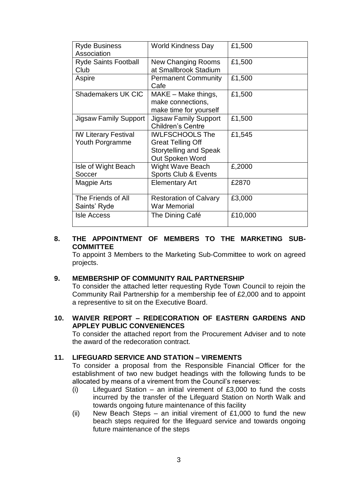| <b>Ryde Business</b><br>Association            | <b>World Kindness Day</b>                                                                              | £1,500  |
|------------------------------------------------|--------------------------------------------------------------------------------------------------------|---------|
| <b>Ryde Saints Football</b><br>Club            | New Changing Rooms<br>at Smallbrook Stadium                                                            | £1,500  |
| Aspire                                         | <b>Permanent Community</b><br>Cafe                                                                     | £1,500  |
| <b>Shademakers UK CIC</b>                      | $MAKE - Make things,$<br>make connections,<br>make time for yourself                                   | £1,500  |
| <b>Jigsaw Family Support</b>                   | <b>Jigsaw Family Support</b><br><b>Children's Centre</b>                                               | £1,500  |
| <b>IW Literary Festival</b><br>Youth Porgramme | <b>IWLFSCHOOLS The</b><br><b>Great Telling Off</b><br><b>Storytelling and Speak</b><br>Out Spoken Word | £1,545  |
| Isle of Wight Beach<br>Soccer                  | <b>Wight Wave Beach</b><br>Sports Club & Events                                                        | £,2000  |
| Magpie Arts                                    | <b>Elementary Art</b>                                                                                  | £2870   |
| The Friends of All<br>Saints' Ryde             | <b>Restoration of Calvary</b><br><b>War Memorial</b>                                                   | £3,000  |
| <b>Isle Access</b>                             | The Dining Café                                                                                        | £10,000 |

# **8. THE APPOINTMENT OF MEMBERS TO THE MARKETING SUB-COMMITTEE**

To appoint 3 Members to the Marketing Sub-Committee to work on agreed projects.

## **9. MEMBERSHIP OF COMMUNITY RAIL PARTNERSHIP**

To consider the attached letter requesting Ryde Town Council to rejoin the Community Rail Partnership for a membership fee of £2,000 and to appoint a representive to sit on the Executive Board.

**10. WAIVER REPORT – REDECORATION OF EASTERN GARDENS AND APPLEY PUBLIC CONVENIENCES**

To consider the attached report from the Procurement Adviser and to note the award of the redecoration contract.

# **11. LIFEGUARD SERVICE AND STATION – VIREMENTS**

To consider a proposal from the Responsible Financial Officer for the establishment of two new budget headings with the following funds to be allocated by means of a virement from the Council's reserves:

- (i) Lifeguard Station an initial virement of  $£3,000$  to fund the costs incurred by the transfer of the Lifeguard Station on North Walk and towards ongoing future maintenance of this facility
- (ii) New Beach Steps an initial virement of  $£1,000$  to fund the new beach steps required for the lifeguard service and towards ongoing future maintenance of the steps